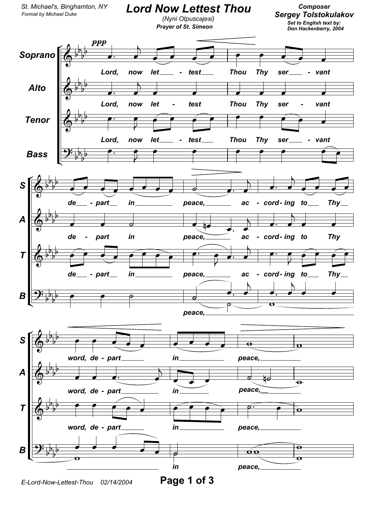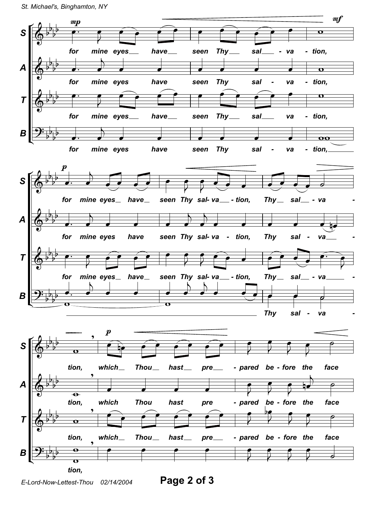

E-Lord-Now-Lettest-Thou 02/14/2004

Page 2 of 3